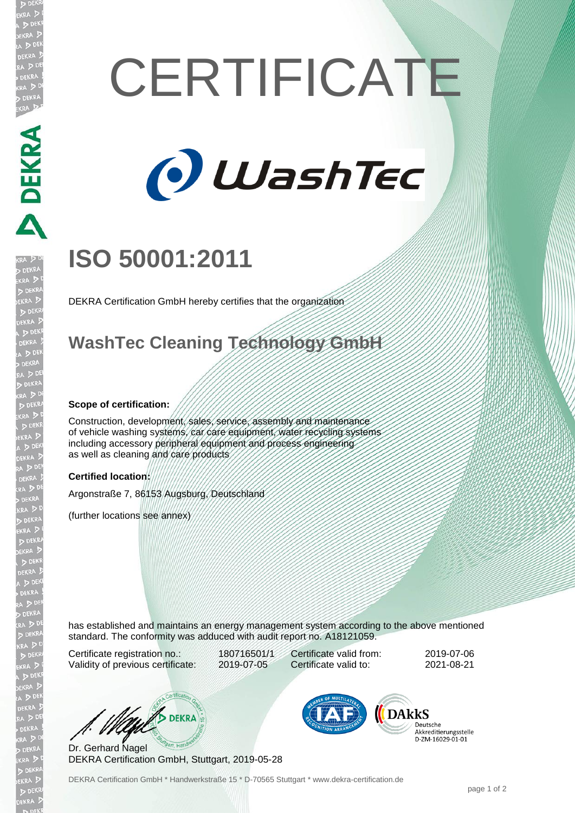# **CERTIFICATE**



## **ISO 50001:2011**

DEKRA Certification GmbH hereby certifies that the organization

### **WashTec Cleaning Technology GmbH**

#### **Scope of certification:**

Construction, development, sales, service, assembly and maintenance of vehicle washing systems, car care equipment, water recycling systems including accessory peripheral equipment and process engineering as well as cleaning and care products

#### **Certified location:**

Argonstraße 7, 86153 Augsburg, Deutschland

(further locations see annex)

has established and maintains an energy management system according to the above mentioned standard. The conformity was adduced with audit report no. A18121059.

Certificate registration no.: 180716501/1 Validity of previous certificate: 2019-07-05

Certificate valid from: 2019-07-06 Certificate valid to: 2021-08-21

W/S DEKRA

Dr. Gerhard Nagel DEKRA Certification GmbH, Stuttgart, 2019-05-28



Deutsche Akkreditierungsstelle D-7M-16029-01-01